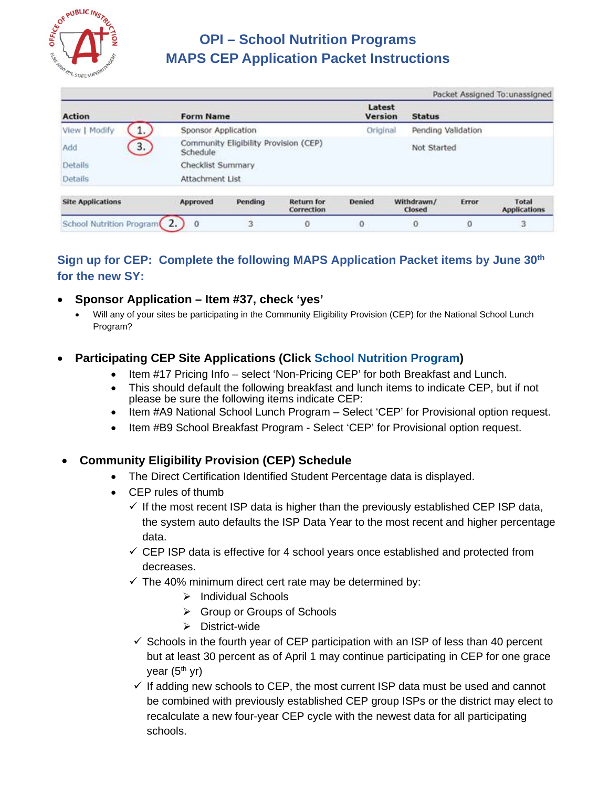

# **OPI – School Nutrition Programs MAPS CEP Application Packet Instructions**

|                              |                     | Packet Assigned To: unassigned        |                                 |                   |                      |                    |                              |  |  |
|------------------------------|---------------------|---------------------------------------|---------------------------------|-------------------|----------------------|--------------------|------------------------------|--|--|
| <b>Action</b>                | <b>Form Name</b>    |                                       |                                 | Latest<br>Version | <b>Status</b>        |                    |                              |  |  |
| Modify<br>1.<br>View         | Sponsor Application |                                       |                                 | Original          |                      | Pending Validation |                              |  |  |
| 3.<br>Add                    | Schedule            | Community Eligibility Provision (CEP) |                                 |                   |                      | Not Started        |                              |  |  |
| <b>Details</b>               | Checklist Summary   |                                       |                                 |                   |                      |                    |                              |  |  |
| Details                      | Attachment List     |                                       |                                 |                   |                      |                    |                              |  |  |
| <b>Site Applications</b>     | Approved            | Pending                               | <b>Return for</b><br>Correction | <b>Denied</b>     | Withdrawn/<br>Closed | <b>Error</b>       | Total<br><b>Applications</b> |  |  |
| School Nutrition Program (2. | $\Omega$            | 3                                     | 0                               | $\sigma$          | 0                    | 0                  | з                            |  |  |

## **Sign up for CEP: Complete the following MAPS Application Packet items by June 30th for the new SY:**

#### • **Sponsor Application – Item #37, check 'yes'**

• Will any of your sites be participating in the Community Eligibility Provision (CEP) for the National School Lunch Program?

## • **Participating CEP Site Applications (Click School Nutrition Program)**

- Item #17 Pricing Info select 'Non-Pricing CEP' for both Breakfast and Lunch.
- This should default the following breakfast and lunch items to indicate CEP, but if not please be sure the following items indicate CEP:
- Item #A9 National School Lunch Program Select 'CEP' for Provisional option request.
- Item #B9 School Breakfast Program Select 'CEP' for Provisional option request.

#### • **Community Eligibility Provision (CEP) Schedule**

- The Direct Certification Identified Student Percentage data is displayed.
- CEP rules of thumb
	- $\checkmark$  If the most recent ISP data is higher than the previously established CEP ISP data, the system auto defaults the ISP Data Year to the most recent and higher percentage data.
	- $\checkmark$  CEP ISP data is effective for 4 school years once established and protected from decreases.
	- $\checkmark$  The 40% minimum direct cert rate may be determined by:
		- $\triangleright$  Individual Schools
		- Group or Groups of Schools
		- $\triangleright$  District-wide
	- $\checkmark$  Schools in the fourth year of CEP participation with an ISP of less than 40 percent but at least 30 percent as of April 1 may continue participating in CEP for one grace year  $(5<sup>th</sup>$  yr)
	- $\checkmark$  If adding new schools to CEP, the most current ISP data must be used and cannot be combined with previously established CEP group ISPs or the district may elect to recalculate a new four-year CEP cycle with the newest data for all participating schools.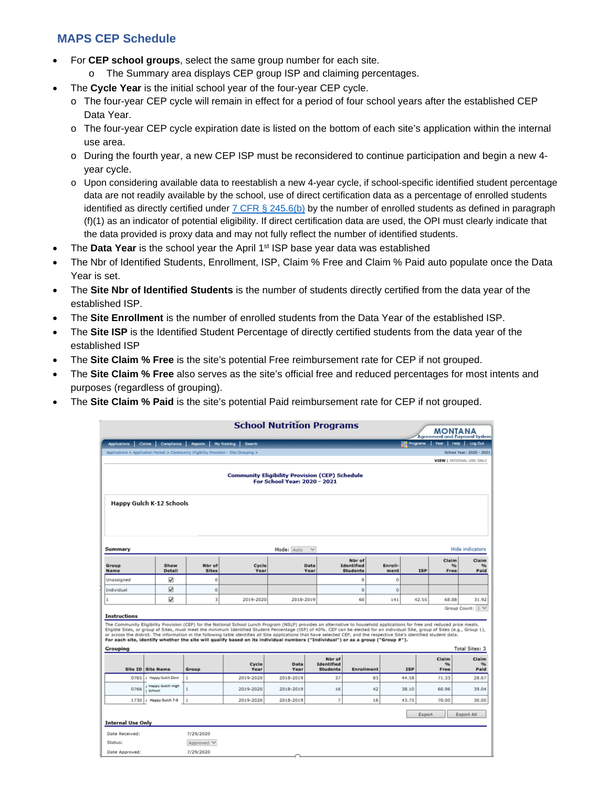## **MAPS CEP Schedule**

- For **CEP school groups**, select the same group number for each site.
	- o The Summary area displays CEP group ISP and claiming percentages.
- The **Cycle Year** is the initial school year of the four-year CEP cycle.
	- o The four-year CEP cycle will remain in effect for a period of four school years after the established CEP Data Year.
	- o The four-year CEP cycle expiration date is listed on the bottom of each site's application within the internal use area.
	- o During the fourth year, a new CEP ISP must be reconsidered to continue participation and begin a new 4 year cycle.
	- o Upon considering available data to reestablish a new 4-year cycle, if school-specific identified student percentage data are not readily available by the school, use of direct certification data as a percentage of enrolled students identified as directly certified under  $7$  CFR § 245.6(b) by the number of enrolled students as defined in paragraph (f)(1) as an indicator of potential eligibility. If direct certification data are used, the OPI must clearly indicate that the data provided is proxy data and may not fully reflect the number of identified students.
- The **Data Year** is the school year the April 1<sup>st</sup> ISP base year data was established
- The Nbr of Identified Students, Enrollment, ISP, Claim % Free and Claim % Paid auto populate once the Data Year is set.
- The **Site Nbr of Identified Students** is the number of students directly certified from the data year of the established ISP.
- The **Site Enrollment** is the number of enrolled students from the Data Year of the established ISP.
- The **Site ISP** is the Identified Student Percentage of directly certified students from the data year of the established ISP
- The **Site Claim % Free** is the site's potential Free reimbursement rate for CEP if not grouped.
- The **Site Claim % Free** also serves as the site's official free and reduced percentages for most intents and purposes (regardless of grouping).
- The **Site Claim % Paid** is the site's potential Paid reimbursement rate for CEP if not grouped.

|                                 |                                                                                       |                        |                                                                                                                                                                                                                                                                                                                                                                                                                                                                                                                                                                                                                                                                                | <b>School Nutrition Programs</b>                                                      |                                                |                                         |                 |            | MONTANA<br><b>Agreement and Payment System</b> |                                    |
|---------------------------------|---------------------------------------------------------------------------------------|------------------------|--------------------------------------------------------------------------------------------------------------------------------------------------------------------------------------------------------------------------------------------------------------------------------------------------------------------------------------------------------------------------------------------------------------------------------------------------------------------------------------------------------------------------------------------------------------------------------------------------------------------------------------------------------------------------------|---------------------------------------------------------------------------------------|------------------------------------------------|-----------------------------------------|-----------------|------------|------------------------------------------------|------------------------------------|
| Applications                    | Claims                                                                                |                        | Compilance Reports My Training Search                                                                                                                                                                                                                                                                                                                                                                                                                                                                                                                                                                                                                                          |                                                                                       |                                                |                                         |                 |            | <b>THE Programs   Year   Help   Log Out</b>    |                                    |
|                                 | Applications > Application Packet > Community Eligibility Provision - Site Grouping > |                        |                                                                                                                                                                                                                                                                                                                                                                                                                                                                                                                                                                                                                                                                                |                                                                                       |                                                |                                         |                 |            |                                                | School Year: 2020 - 2021           |
|                                 |                                                                                       |                        |                                                                                                                                                                                                                                                                                                                                                                                                                                                                                                                                                                                                                                                                                |                                                                                       |                                                |                                         |                 |            |                                                | <b>VIEW   INTERNAL USE ONLY</b>    |
|                                 |                                                                                       |                        |                                                                                                                                                                                                                                                                                                                                                                                                                                                                                                                                                                                                                                                                                | <b>Community Eligibility Provision (CEP) Schedule</b><br>For School Year: 2020 - 2021 |                                                |                                         |                 |            |                                                |                                    |
|                                 | Happy Gulch K-12 Schools                                                              |                        |                                                                                                                                                                                                                                                                                                                                                                                                                                                                                                                                                                                                                                                                                |                                                                                       |                                                |                                         |                 |            |                                                |                                    |
| Summary                         |                                                                                       |                        |                                                                                                                                                                                                                                                                                                                                                                                                                                                                                                                                                                                                                                                                                | Mode: Auto                                                                            | $\checkmark$                                   |                                         |                 |            |                                                | <b>Hide indicators</b>             |
| Group<br>Name                   | Show<br>Detail                                                                        | Nbr of<br><b>Sites</b> | Cycle<br>Year                                                                                                                                                                                                                                                                                                                                                                                                                                                                                                                                                                                                                                                                  |                                                                                       | Data<br>Year                                   | Nbr of<br>Identified<br><b>Students</b> | Enroll-<br>ment | <b>ISP</b> | Claim<br>96<br>Free                            | Claim<br>$\frac{1}{2}$<br>Paid     |
| Unassigned                      | ☑                                                                                     | ō                      |                                                                                                                                                                                                                                                                                                                                                                                                                                                                                                                                                                                                                                                                                |                                                                                       |                                                | $\Omega$                                | o               |            |                                                |                                    |
| Individual                      | N                                                                                     | $\circ$                |                                                                                                                                                                                                                                                                                                                                                                                                                                                                                                                                                                                                                                                                                |                                                                                       |                                                | $\mathbf{0}$                            | $\Omega$        |            |                                                |                                    |
| ٠                               | N                                                                                     | 3                      | 2019-2020                                                                                                                                                                                                                                                                                                                                                                                                                                                                                                                                                                                                                                                                      | 2018-2019                                                                             |                                                | 60                                      | 141             | 42.55      | 68.08                                          | 31.92                              |
| <b>Instructions</b><br>Grouping |                                                                                       |                        | The Community Eligibility Provision (CEP) for the National School Lunch Program (NSLP) provides an alternative to household applications for free and reduced price meals.<br>Eligible Sites, or group of Sites, must meet the minimum Identified Student Percentage (ISP) of 40%. CEP can be elected for an individual Site, group of Sites (e.g., Group 1),<br>or across the district. The information in the following table identifies all Site applications that have selected CEP, and the respective Site's identified student data.<br>For each site, identify whether the site will qualify based on its individual numbers ("Individual") or as a group ("Group #"). |                                                                                       |                                                |                                         |                 |            |                                                | Group Count: 1 V<br>Total Sites: 3 |
|                                 | Site ID Site Name                                                                     | Group                  | Cycle<br>Year                                                                                                                                                                                                                                                                                                                                                                                                                                                                                                                                                                                                                                                                  | Data<br>Year                                                                          | Nbr of<br><b>Identified</b><br><b>Students</b> | Enrollment                              |                 | <b>ISP</b> | Claim<br>$Q_{\text{fn}}$<br>Free               | Claim<br>%<br>Paid                 |
| 0765                            | J Happy Guich Elem                                                                    | $\mathbf{1}$           | 2019-2020                                                                                                                                                                                                                                                                                                                                                                                                                                                                                                                                                                                                                                                                      | 2018-2019                                                                             | 37                                             |                                         | 83              | 44.58      | 71.33                                          | 28.67                              |
| 0766                            | J Happy Gulch High<br>« School                                                        | 1                      | 2019-2020                                                                                                                                                                                                                                                                                                                                                                                                                                                                                                                                                                                                                                                                      | 2018-2019                                                                             | 16                                             |                                         | 42              | 38.10      | 60.96                                          | 39.04                              |
|                                 |                                                                                       |                        |                                                                                                                                                                                                                                                                                                                                                                                                                                                                                                                                                                                                                                                                                |                                                                                       |                                                |                                         |                 |            |                                                |                                    |
|                                 | 1730   / Happy Guich 7-8                                                              | $\mathbf{1}$           | 2019-2020                                                                                                                                                                                                                                                                                                                                                                                                                                                                                                                                                                                                                                                                      | 2018-2019                                                                             | $\overline{z}$                                 |                                         | 16              | 43.75      | 70.00                                          |                                    |
| <b>Internal Use Only</b>        |                                                                                       |                        |                                                                                                                                                                                                                                                                                                                                                                                                                                                                                                                                                                                                                                                                                |                                                                                       |                                                |                                         |                 |            | Export                                         | Export All                         |
| Date Received:                  |                                                                                       | 7/29/2020              |                                                                                                                                                                                                                                                                                                                                                                                                                                                                                                                                                                                                                                                                                |                                                                                       |                                                |                                         |                 |            |                                                |                                    |
| Status:                         |                                                                                       | Approved V             |                                                                                                                                                                                                                                                                                                                                                                                                                                                                                                                                                                                                                                                                                |                                                                                       |                                                |                                         |                 |            |                                                | 30.00                              |